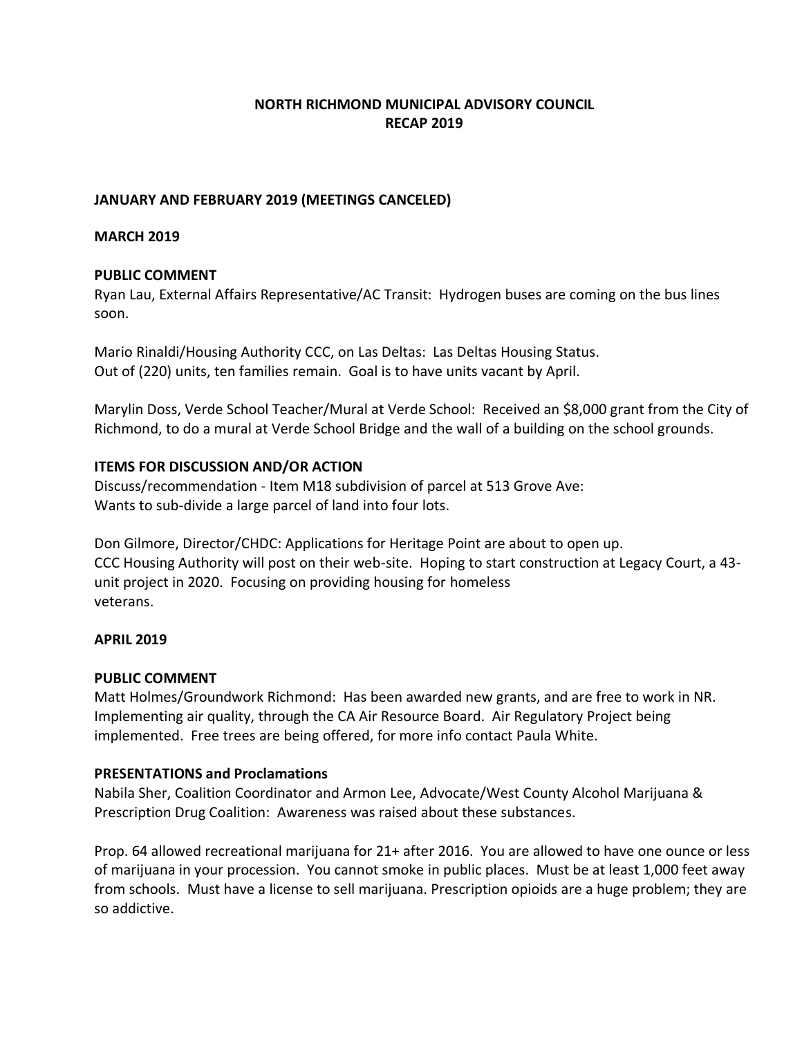# **NORTH RICHMOND MUNICIPAL ADVISORY COUNCIL RECAP 2019**

### **JANUARY AND FEBRUARY 2019 (MEETINGS CANCELED)**

### **MARCH 2019**

### **PUBLIC COMMENT**

Ryan Lau, External Affairs Representative/AC Transit: Hydrogen buses are coming on the bus lines soon.

Mario Rinaldi/Housing Authority CCC, on Las Deltas: Las Deltas Housing Status. Out of (220) units, ten families remain. Goal is to have units vacant by April.

Marylin Doss, Verde School Teacher/Mural at Verde School: Received an \$8,000 grant from the City of Richmond, to do a mural at Verde School Bridge and the wall of a building on the school grounds.

### **ITEMS FOR DISCUSSION AND/OR ACTION**

Discuss/recommendation - Item M18 subdivision of parcel at 513 Grove Ave: Wants to sub-divide a large parcel of land into four lots.

Don Gilmore, Director/CHDC: Applications for Heritage Point are about to open up. CCC Housing Authority will post on their web-site. Hoping to start construction at Legacy Court, a 43 unit project in 2020. Focusing on providing housing for homeless veterans.

# **APRIL 2019**

### **PUBLIC COMMENT**

Matt Holmes/Groundwork Richmond: Has been awarded new grants, and are free to work in NR. Implementing air quality, through the CA Air Resource Board. Air Regulatory Project being implemented. Free trees are being offered, for more info contact Paula White.

# **PRESENTATIONS and Proclamations**

Nabila Sher, Coalition Coordinator and Armon Lee, Advocate/West County Alcohol Marijuana & Prescription Drug Coalition: Awareness was raised about these substances.

Prop. 64 allowed recreational marijuana for 21+ after 2016. You are allowed to have one ounce or less of marijuana in your procession. You cannot smoke in public places. Must be at least 1,000 feet away from schools. Must have a license to sell marijuana. Prescription opioids are a huge problem; they are so addictive.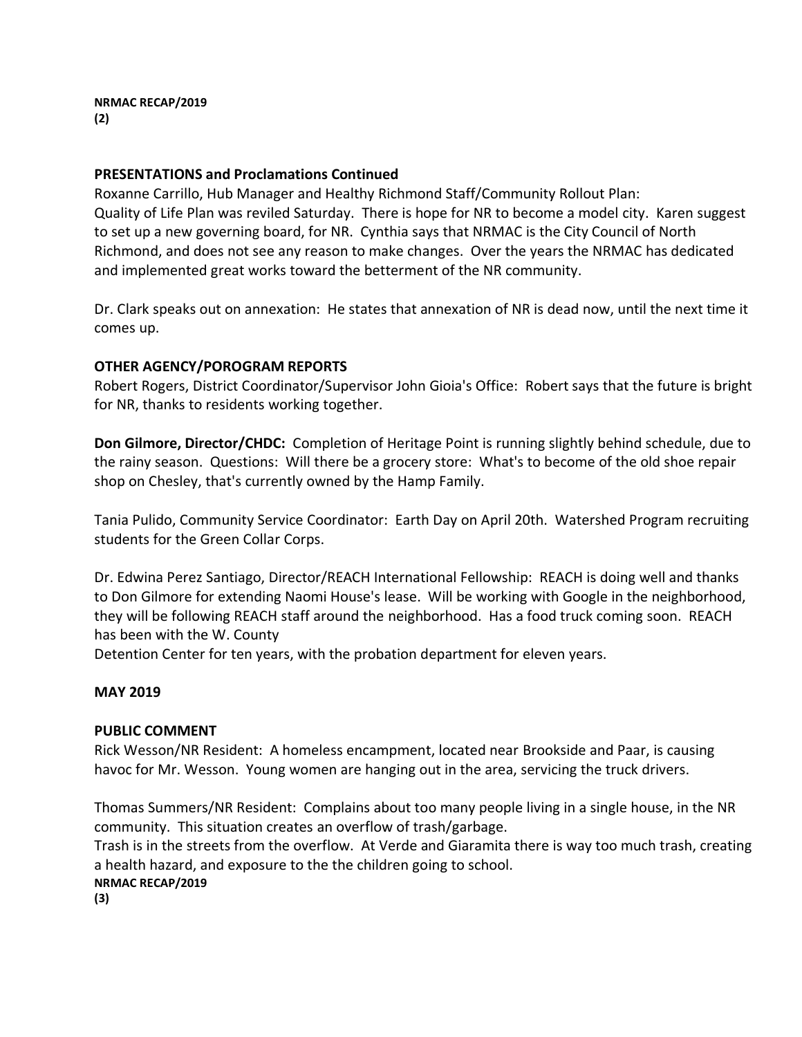**NRMAC RECAP/2019 (2)**

#### **PRESENTATIONS and Proclamations Continued**

Roxanne Carrillo, Hub Manager and Healthy Richmond Staff/Community Rollout Plan: Quality of Life Plan was reviled Saturday. There is hope for NR to become a model city. Karen suggest to set up a new governing board, for NR. Cynthia says that NRMAC is the City Council of North Richmond, and does not see any reason to make changes. Over the years the NRMAC has dedicated and implemented great works toward the betterment of the NR community.

Dr. Clark speaks out on annexation: He states that annexation of NR is dead now, until the next time it comes up.

### **OTHER AGENCY/POROGRAM REPORTS**

Robert Rogers, District Coordinator/Supervisor John Gioia's Office: Robert says that the future is bright for NR, thanks to residents working together.

**Don Gilmore, Director/CHDC:** Completion of Heritage Point is running slightly behind schedule, due to the rainy season. Questions: Will there be a grocery store: What's to become of the old shoe repair shop on Chesley, that's currently owned by the Hamp Family.

Tania Pulido, Community Service Coordinator: Earth Day on April 20th. Watershed Program recruiting students for the Green Collar Corps.

Dr. Edwina Perez Santiago, Director/REACH International Fellowship: REACH is doing well and thanks to Don Gilmore for extending Naomi House's lease. Will be working with Google in the neighborhood, they will be following REACH staff around the neighborhood. Has a food truck coming soon. REACH has been with the W. County

Detention Center for ten years, with the probation department for eleven years.

### **MAY 2019**

#### **PUBLIC COMMENT**

Rick Wesson/NR Resident: A homeless encampment, located near Brookside and Paar, is causing havoc for Mr. Wesson. Young women are hanging out in the area, servicing the truck drivers.

Thomas Summers/NR Resident: Complains about too many people living in a single house, in the NR community. This situation creates an overflow of trash/garbage.

Trash is in the streets from the overflow. At Verde and Giaramita there is way too much trash, creating a health hazard, and exposure to the the children going to school.

**NRMAC RECAP/2019**

**(3)**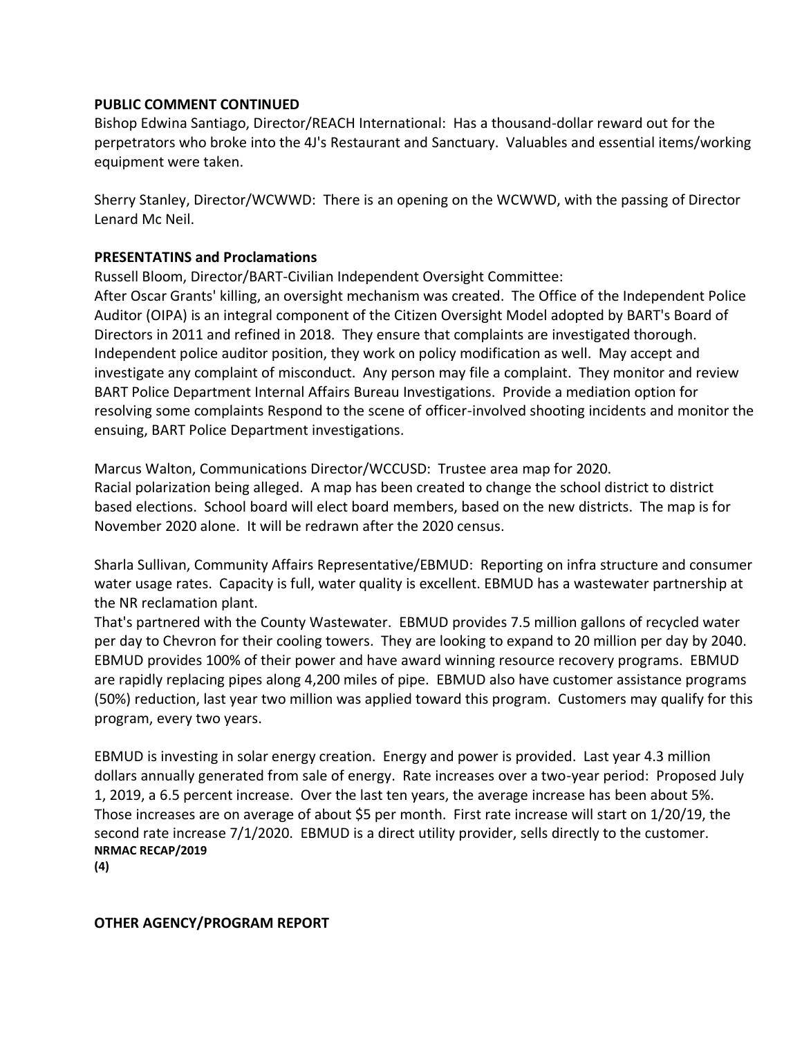### **PUBLIC COMMENT CONTINUED**

Bishop Edwina Santiago, Director/REACH International: Has a thousand-dollar reward out for the perpetrators who broke into the 4J's Restaurant and Sanctuary. Valuables and essential items/working equipment were taken.

Sherry Stanley, Director/WCWWD: There is an opening on the WCWWD, with the passing of Director Lenard Mc Neil.

#### **PRESENTATINS and Proclamations**

Russell Bloom, Director/BART-Civilian Independent Oversight Committee:

After Oscar Grants' killing, an oversight mechanism was created. The Office of the Independent Police Auditor (OIPA) is an integral component of the Citizen Oversight Model adopted by BART's Board of Directors in 2011 and refined in 2018. They ensure that complaints are investigated thorough. Independent police auditor position, they work on policy modification as well. May accept and investigate any complaint of misconduct. Any person may file a complaint. They monitor and review BART Police Department Internal Affairs Bureau Investigations. Provide a mediation option for resolving some complaints Respond to the scene of officer-involved shooting incidents and monitor the ensuing, BART Police Department investigations.

Marcus Walton, Communications Director/WCCUSD: Trustee area map for 2020. Racial polarization being alleged. A map has been created to change the school district to district based elections. School board will elect board members, based on the new districts. The map is for November 2020 alone. It will be redrawn after the 2020 census.

Sharla Sullivan, Community Affairs Representative/EBMUD: Reporting on infra structure and consumer water usage rates. Capacity is full, water quality is excellent. EBMUD has a wastewater partnership at the NR reclamation plant.

That's partnered with the County Wastewater. EBMUD provides 7.5 million gallons of recycled water per day to Chevron for their cooling towers. They are looking to expand to 20 million per day by 2040. EBMUD provides 100% of their power and have award winning resource recovery programs. EBMUD are rapidly replacing pipes along 4,200 miles of pipe. EBMUD also have customer assistance programs (50%) reduction, last year two million was applied toward this program. Customers may qualify for this program, every two years.

EBMUD is investing in solar energy creation. Energy and power is provided. Last year 4.3 million dollars annually generated from sale of energy. Rate increases over a two-year period: Proposed July 1, 2019, a 6.5 percent increase. Over the last ten years, the average increase has been about 5%. Those increases are on average of about \$5 per month. First rate increase will start on 1/20/19, the second rate increase 7/1/2020. EBMUD is a direct utility provider, sells directly to the customer. **NRMAC RECAP/2019**

**(4)**

#### **OTHER AGENCY/PROGRAM REPORT**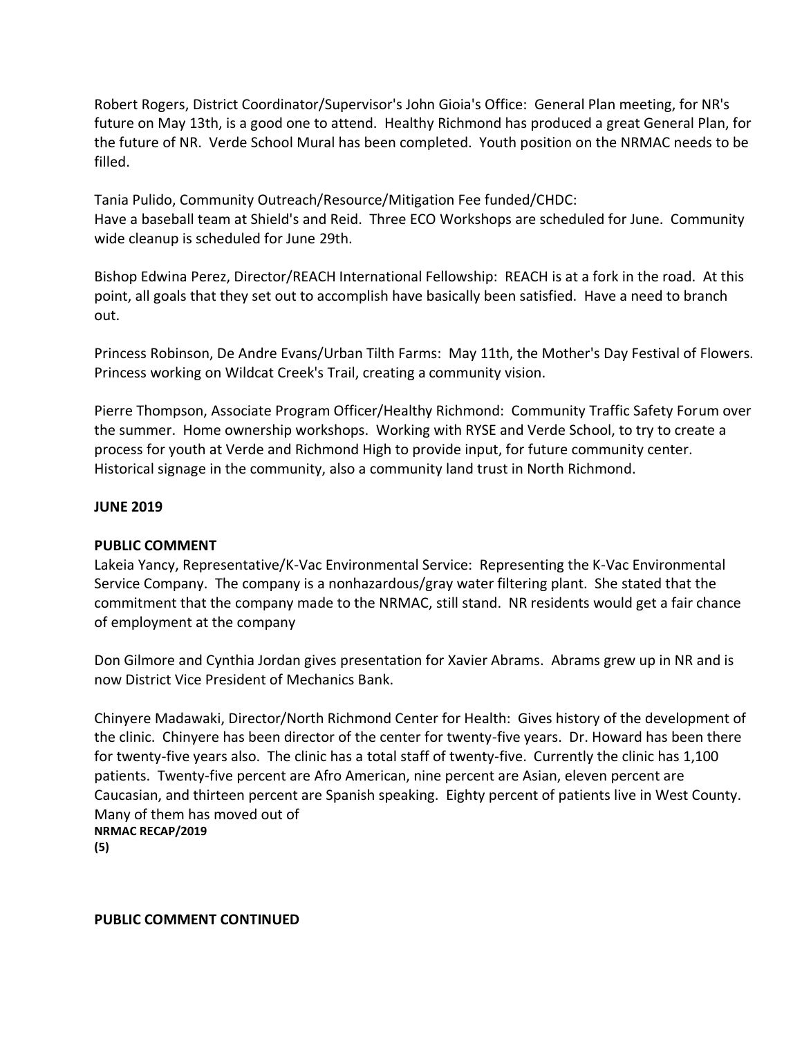Robert Rogers, District Coordinator/Supervisor's John Gioia's Office: General Plan meeting, for NR's future on May 13th, is a good one to attend. Healthy Richmond has produced a great General Plan, for the future of NR. Verde School Mural has been completed. Youth position on the NRMAC needs to be filled.

Tania Pulido, Community Outreach/Resource/Mitigation Fee funded/CHDC: Have a baseball team at Shield's and Reid. Three ECO Workshops are scheduled for June. Community wide cleanup is scheduled for June 29th.

Bishop Edwina Perez, Director/REACH International Fellowship: REACH is at a fork in the road. At this point, all goals that they set out to accomplish have basically been satisfied. Have a need to branch out.

Princess Robinson, De Andre Evans/Urban Tilth Farms: May 11th, the Mother's Day Festival of Flowers. Princess working on Wildcat Creek's Trail, creating a community vision.

Pierre Thompson, Associate Program Officer/Healthy Richmond: Community Traffic Safety Forum over the summer. Home ownership workshops. Working with RYSE and Verde School, to try to create a process for youth at Verde and Richmond High to provide input, for future community center. Historical signage in the community, also a community land trust in North Richmond.

### **JUNE 2019**

#### **PUBLIC COMMENT**

Lakeia Yancy, Representative/K-Vac Environmental Service: Representing the K-Vac Environmental Service Company. The company is a nonhazardous/gray water filtering plant. She stated that the commitment that the company made to the NRMAC, still stand. NR residents would get a fair chance of employment at the company

Don Gilmore and Cynthia Jordan gives presentation for Xavier Abrams. Abrams grew up in NR and is now District Vice President of Mechanics Bank.

Chinyere Madawaki, Director/North Richmond Center for Health: Gives history of the development of the clinic. Chinyere has been director of the center for twenty-five years. Dr. Howard has been there for twenty-five years also. The clinic has a total staff of twenty-five. Currently the clinic has 1,100 patients. Twenty-five percent are Afro American, nine percent are Asian, eleven percent are Caucasian, and thirteen percent are Spanish speaking. Eighty percent of patients live in West County. Many of them has moved out of **NRMAC RECAP/2019**

**(5)**

**PUBLIC COMMENT CONTINUED**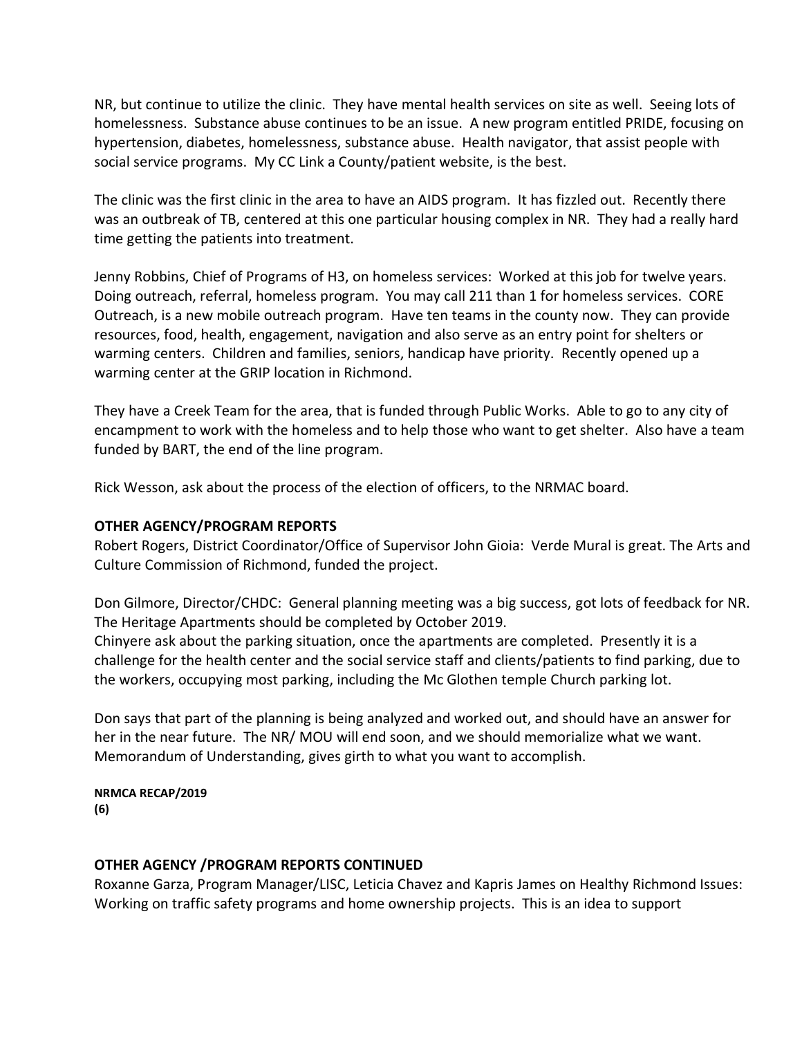NR, but continue to utilize the clinic. They have mental health services on site as well. Seeing lots of homelessness. Substance abuse continues to be an issue. A new program entitled PRIDE, focusing on hypertension, diabetes, homelessness, substance abuse. Health navigator, that assist people with social service programs. My CC Link a County/patient website, is the best.

The clinic was the first clinic in the area to have an AIDS program. It has fizzled out. Recently there was an outbreak of TB, centered at this one particular housing complex in NR. They had a really hard time getting the patients into treatment.

Jenny Robbins, Chief of Programs of H3, on homeless services: Worked at this job for twelve years. Doing outreach, referral, homeless program. You may call 211 than 1 for homeless services. CORE Outreach, is a new mobile outreach program. Have ten teams in the county now. They can provide resources, food, health, engagement, navigation and also serve as an entry point for shelters or warming centers. Children and families, seniors, handicap have priority. Recently opened up a warming center at the GRIP location in Richmond.

They have a Creek Team for the area, that is funded through Public Works. Able to go to any city of encampment to work with the homeless and to help those who want to get shelter. Also have a team funded by BART, the end of the line program.

Rick Wesson, ask about the process of the election of officers, to the NRMAC board.

### **OTHER AGENCY/PROGRAM REPORTS**

Robert Rogers, District Coordinator/Office of Supervisor John Gioia: Verde Mural is great. The Arts and Culture Commission of Richmond, funded the project.

Don Gilmore, Director/CHDC: General planning meeting was a big success, got lots of feedback for NR. The Heritage Apartments should be completed by October 2019.

Chinyere ask about the parking situation, once the apartments are completed. Presently it is a challenge for the health center and the social service staff and clients/patients to find parking, due to the workers, occupying most parking, including the Mc Glothen temple Church parking lot.

Don says that part of the planning is being analyzed and worked out, and should have an answer for her in the near future. The NR/ MOU will end soon, and we should memorialize what we want. Memorandum of Understanding, gives girth to what you want to accomplish.

#### **NRMCA RECAP/2019 (6)**

# **OTHER AGENCY /PROGRAM REPORTS CONTINUED**

Roxanne Garza, Program Manager/LISC, Leticia Chavez and Kapris James on Healthy Richmond Issues: Working on traffic safety programs and home ownership projects. This is an idea to support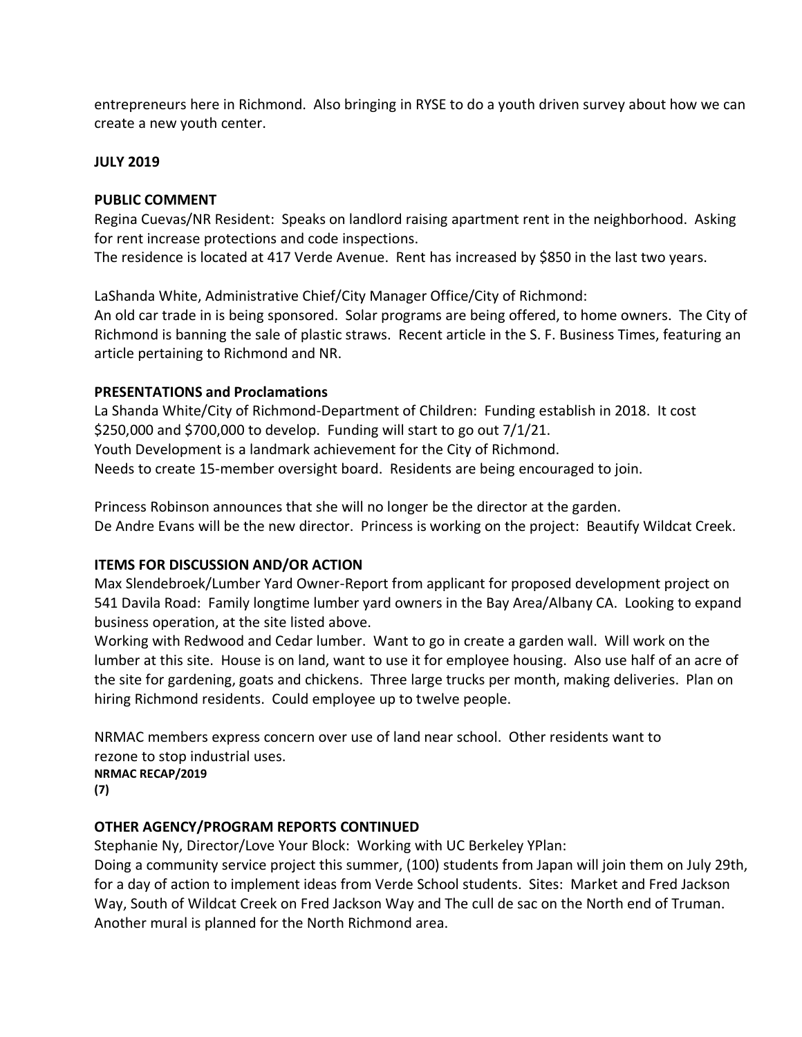entrepreneurs here in Richmond. Also bringing in RYSE to do a youth driven survey about how we can create a new youth center.

### **JULY 2019**

### **PUBLIC COMMENT**

Regina Cuevas/NR Resident: Speaks on landlord raising apartment rent in the neighborhood. Asking for rent increase protections and code inspections.

The residence is located at 417 Verde Avenue. Rent has increased by \$850 in the last two years.

LaShanda White, Administrative Chief/City Manager Office/City of Richmond:

An old car trade in is being sponsored. Solar programs are being offered, to home owners. The City of Richmond is banning the sale of plastic straws. Recent article in the S. F. Business Times, featuring an article pertaining to Richmond and NR.

### **PRESENTATIONS and Proclamations**

La Shanda White/City of Richmond-Department of Children: Funding establish in 2018. It cost \$250,000 and \$700,000 to develop. Funding will start to go out 7/1/21. Youth Development is a landmark achievement for the City of Richmond. Needs to create 15-member oversight board. Residents are being encouraged to join.

Princess Robinson announces that she will no longer be the director at the garden. De Andre Evans will be the new director. Princess is working on the project: Beautify Wildcat Creek.

### **ITEMS FOR DISCUSSION AND/OR ACTION**

Max Slendebroek/Lumber Yard Owner-Report from applicant for proposed development project on 541 Davila Road: Family longtime lumber yard owners in the Bay Area/Albany CA. Looking to expand business operation, at the site listed above.

Working with Redwood and Cedar lumber. Want to go in create a garden wall. Will work on the lumber at this site. House is on land, want to use it for employee housing. Also use half of an acre of the site for gardening, goats and chickens. Three large trucks per month, making deliveries. Plan on hiring Richmond residents. Could employee up to twelve people.

NRMAC members express concern over use of land near school. Other residents want to rezone to stop industrial uses. **NRMAC RECAP/2019**

**(7)**

# **OTHER AGENCY/PROGRAM REPORTS CONTINUED**

Stephanie Ny, Director/Love Your Block: Working with UC Berkeley YPlan:

Doing a community service project this summer, (100) students from Japan will join them on July 29th, for a day of action to implement ideas from Verde School students. Sites: Market and Fred Jackson Way, South of Wildcat Creek on Fred Jackson Way and The cull de sac on the North end of Truman. Another mural is planned for the North Richmond area.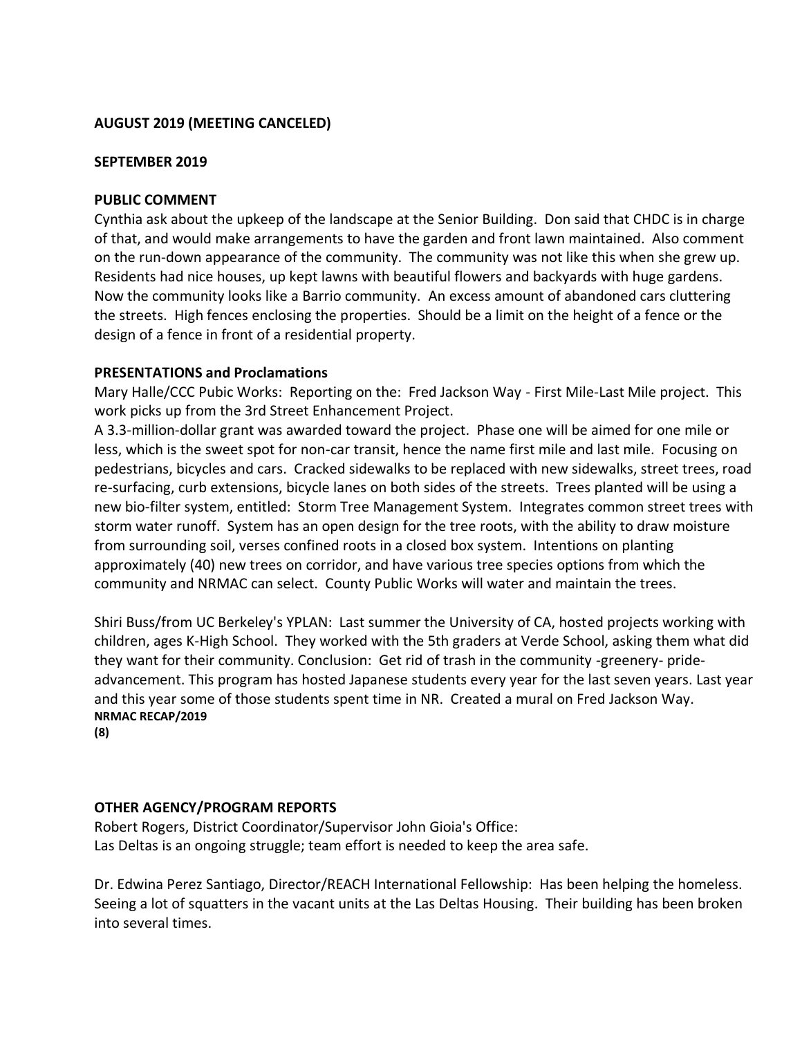### **AUGUST 2019 (MEETING CANCELED)**

#### **SEPTEMBER 2019**

#### **PUBLIC COMMENT**

Cynthia ask about the upkeep of the landscape at the Senior Building. Don said that CHDC is in charge of that, and would make arrangements to have the garden and front lawn maintained. Also comment on the run-down appearance of the community. The community was not like this when she grew up. Residents had nice houses, up kept lawns with beautiful flowers and backyards with huge gardens. Now the community looks like a Barrio community. An excess amount of abandoned cars cluttering the streets. High fences enclosing the properties. Should be a limit on the height of a fence or the design of a fence in front of a residential property.

#### **PRESENTATIONS and Proclamations**

Mary Halle/CCC Pubic Works: Reporting on the: Fred Jackson Way - First Mile-Last Mile project. This work picks up from the 3rd Street Enhancement Project.

A 3.3-million-dollar grant was awarded toward the project. Phase one will be aimed for one mile or less, which is the sweet spot for non-car transit, hence the name first mile and last mile. Focusing on pedestrians, bicycles and cars. Cracked sidewalks to be replaced with new sidewalks, street trees, road re-surfacing, curb extensions, bicycle lanes on both sides of the streets. Trees planted will be using a new bio-filter system, entitled: Storm Tree Management System. Integrates common street trees with storm water runoff. System has an open design for the tree roots, with the ability to draw moisture from surrounding soil, verses confined roots in a closed box system. Intentions on planting approximately (40) new trees on corridor, and have various tree species options from which the community and NRMAC can select. County Public Works will water and maintain the trees.

Shiri Buss/from UC Berkeley's YPLAN: Last summer the University of CA, hosted projects working with children, ages K-High School. They worked with the 5th graders at Verde School, asking them what did they want for their community. Conclusion: Get rid of trash in the community -greenery- prideadvancement. This program has hosted Japanese students every year for the last seven years. Last year and this year some of those students spent time in NR. Created a mural on Fred Jackson Way. **NRMAC RECAP/2019**

**(8)**

### **OTHER AGENCY/PROGRAM REPORTS**

Robert Rogers, District Coordinator/Supervisor John Gioia's Office: Las Deltas is an ongoing struggle; team effort is needed to keep the area safe.

Dr. Edwina Perez Santiago, Director/REACH International Fellowship: Has been helping the homeless. Seeing a lot of squatters in the vacant units at the Las Deltas Housing. Their building has been broken into several times.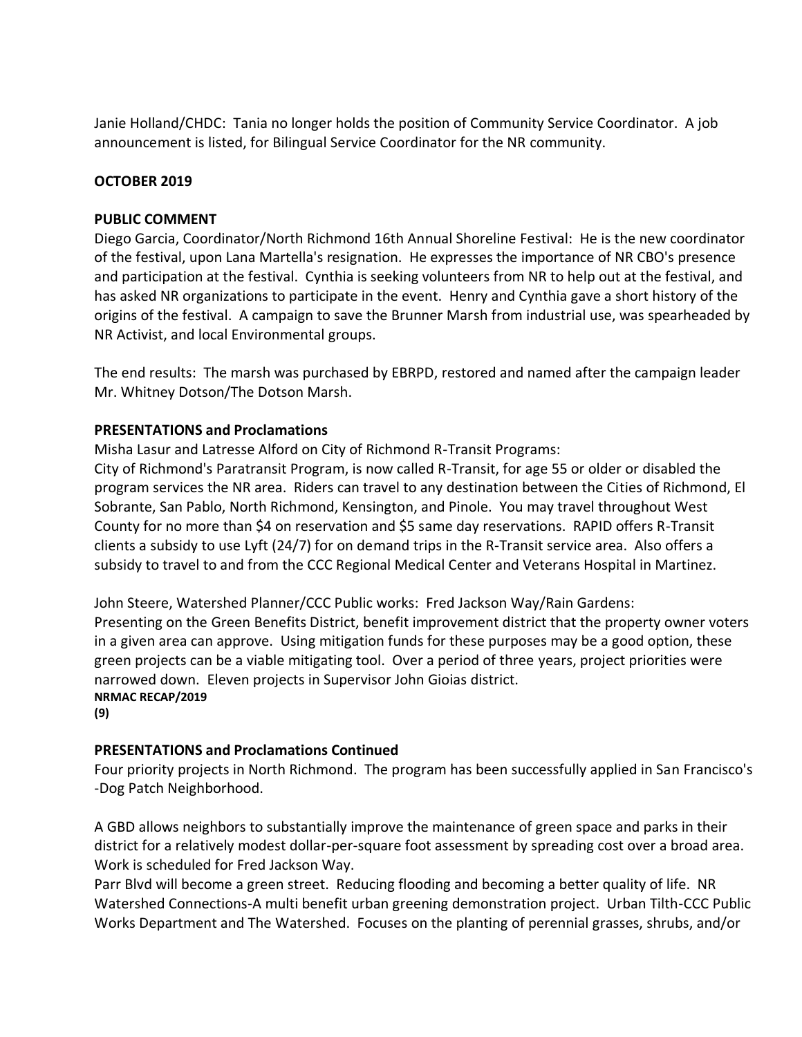Janie Holland/CHDC: Tania no longer holds the position of Community Service Coordinator. A job announcement is listed, for Bilingual Service Coordinator for the NR community.

### **OCTOBER 2019**

### **PUBLIC COMMENT**

Diego Garcia, Coordinator/North Richmond 16th Annual Shoreline Festival: He is the new coordinator of the festival, upon Lana Martella's resignation. He expresses the importance of NR CBO's presence and participation at the festival. Cynthia is seeking volunteers from NR to help out at the festival, and has asked NR organizations to participate in the event. Henry and Cynthia gave a short history of the origins of the festival. A campaign to save the Brunner Marsh from industrial use, was spearheaded by NR Activist, and local Environmental groups.

The end results: The marsh was purchased by EBRPD, restored and named after the campaign leader Mr. Whitney Dotson/The Dotson Marsh.

### **PRESENTATIONS and Proclamations**

Misha Lasur and Latresse Alford on City of Richmond R-Transit Programs:

City of Richmond's Paratransit Program, is now called R-Transit, for age 55 or older or disabled the program services the NR area. Riders can travel to any destination between the Cities of Richmond, El Sobrante, San Pablo, North Richmond, Kensington, and Pinole. You may travel throughout West County for no more than \$4 on reservation and \$5 same day reservations. RAPID offers R-Transit clients a subsidy to use Lyft (24/7) for on demand trips in the R-Transit service area. Also offers a subsidy to travel to and from the CCC Regional Medical Center and Veterans Hospital in Martinez.

John Steere, Watershed Planner/CCC Public works: Fred Jackson Way/Rain Gardens: Presenting on the Green Benefits District, benefit improvement district that the property owner voters in a given area can approve. Using mitigation funds for these purposes may be a good option, these green projects can be a viable mitigating tool. Over a period of three years, project priorities were narrowed down. Eleven projects in Supervisor John Gioias district. **NRMAC RECAP/2019 (9)**

# **PRESENTATIONS and Proclamations Continued**

Four priority projects in North Richmond. The program has been successfully applied in San Francisco's -Dog Patch Neighborhood.

A GBD allows neighbors to substantially improve the maintenance of green space and parks in their district for a relatively modest dollar-per-square foot assessment by spreading cost over a broad area. Work is scheduled for Fred Jackson Way.

Parr Blvd will become a green street. Reducing flooding and becoming a better quality of life. NR Watershed Connections-A multi benefit urban greening demonstration project. Urban Tilth-CCC Public Works Department and The Watershed. Focuses on the planting of perennial grasses, shrubs, and/or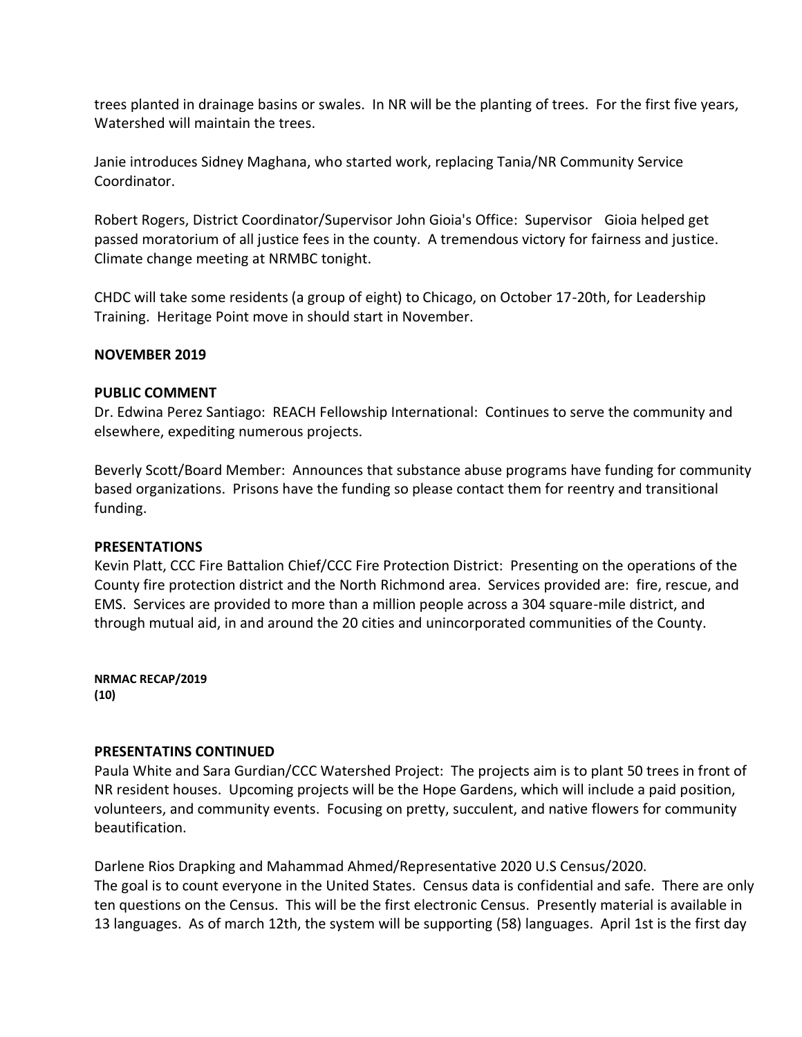trees planted in drainage basins or swales. In NR will be the planting of trees. For the first five years, Watershed will maintain the trees.

Janie introduces Sidney Maghana, who started work, replacing Tania/NR Community Service Coordinator.

Robert Rogers, District Coordinator/Supervisor John Gioia's Office: Supervisor Gioia helped get passed moratorium of all justice fees in the county. A tremendous victory for fairness and justice. Climate change meeting at NRMBC tonight.

CHDC will take some residents (a group of eight) to Chicago, on October 17-20th, for Leadership Training. Heritage Point move in should start in November.

#### **NOVEMBER 2019**

#### **PUBLIC COMMENT**

Dr. Edwina Perez Santiago: REACH Fellowship International: Continues to serve the community and elsewhere, expediting numerous projects.

Beverly Scott/Board Member: Announces that substance abuse programs have funding for community based organizations. Prisons have the funding so please contact them for reentry and transitional funding.

#### **PRESENTATIONS**

Kevin Platt, CCC Fire Battalion Chief/CCC Fire Protection District: Presenting on the operations of the County fire protection district and the North Richmond area. Services provided are: fire, rescue, and EMS. Services are provided to more than a million people across a 304 square-mile district, and through mutual aid, in and around the 20 cities and unincorporated communities of the County.

**NRMAC RECAP/2019 (10)**

### **PRESENTATINS CONTINUED**

Paula White and Sara Gurdian/CCC Watershed Project: The projects aim is to plant 50 trees in front of NR resident houses. Upcoming projects will be the Hope Gardens, which will include a paid position, volunteers, and community events. Focusing on pretty, succulent, and native flowers for community beautification.

Darlene Rios Drapking and Mahammad Ahmed/Representative 2020 U.S Census/2020. The goal is to count everyone in the United States. Census data is confidential and safe. There are only ten questions on the Census. This will be the first electronic Census. Presently material is available in 13 languages. As of march 12th, the system will be supporting (58) languages. April 1st is the first day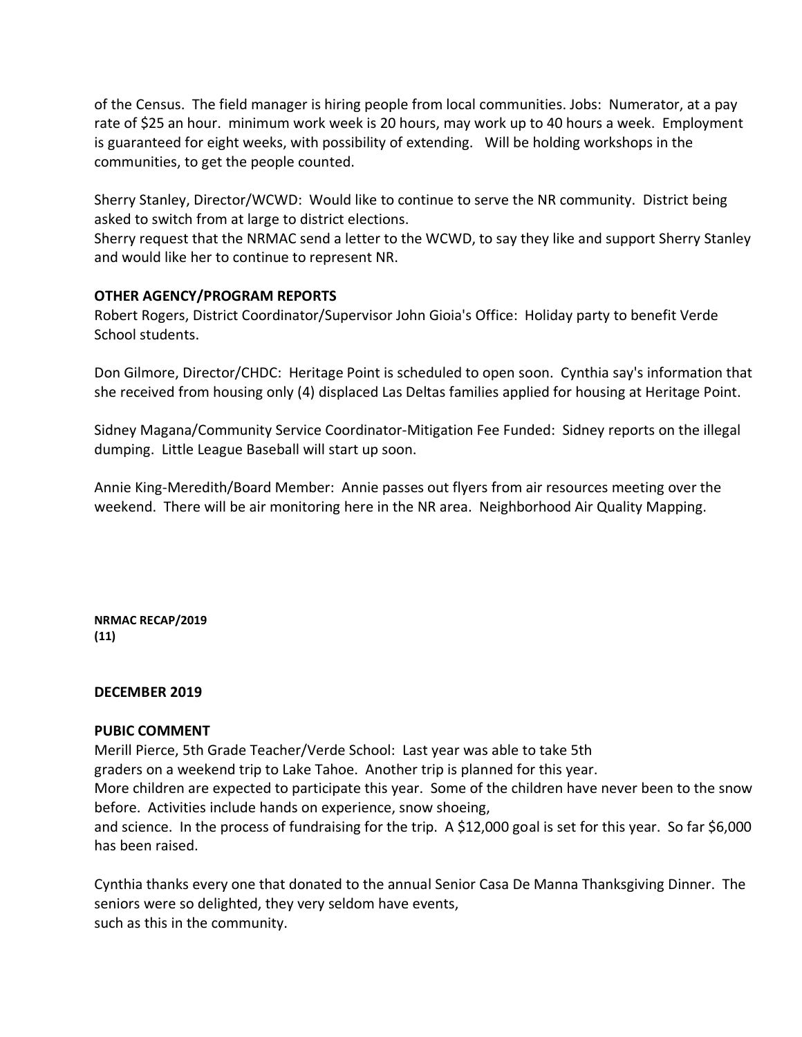of the Census. The field manager is hiring people from local communities. Jobs: Numerator, at a pay rate of \$25 an hour. minimum work week is 20 hours, may work up to 40 hours a week. Employment is guaranteed for eight weeks, with possibility of extending. Will be holding workshops in the communities, to get the people counted.

Sherry Stanley, Director/WCWD: Would like to continue to serve the NR community. District being asked to switch from at large to district elections.

Sherry request that the NRMAC send a letter to the WCWD, to say they like and support Sherry Stanley and would like her to continue to represent NR.

### **OTHER AGENCY/PROGRAM REPORTS**

Robert Rogers, District Coordinator/Supervisor John Gioia's Office: Holiday party to benefit Verde School students.

Don Gilmore, Director/CHDC: Heritage Point is scheduled to open soon. Cynthia say's information that she received from housing only (4) displaced Las Deltas families applied for housing at Heritage Point.

Sidney Magana/Community Service Coordinator-Mitigation Fee Funded: Sidney reports on the illegal dumping. Little League Baseball will start up soon.

Annie King-Meredith/Board Member: Annie passes out flyers from air resources meeting over the weekend. There will be air monitoring here in the NR area. Neighborhood Air Quality Mapping.

**NRMAC RECAP/2019 (11)**

#### **DECEMBER 2019**

#### **PUBIC COMMENT**

Merill Pierce, 5th Grade Teacher/Verde School: Last year was able to take 5th

graders on a weekend trip to Lake Tahoe. Another trip is planned for this year.

More children are expected to participate this year. Some of the children have never been to the snow before. Activities include hands on experience, snow shoeing,

and science. In the process of fundraising for the trip. A \$12,000 goal is set for this year. So far \$6,000 has been raised.

Cynthia thanks every one that donated to the annual Senior Casa De Manna Thanksgiving Dinner. The seniors were so delighted, they very seldom have events, such as this in the community.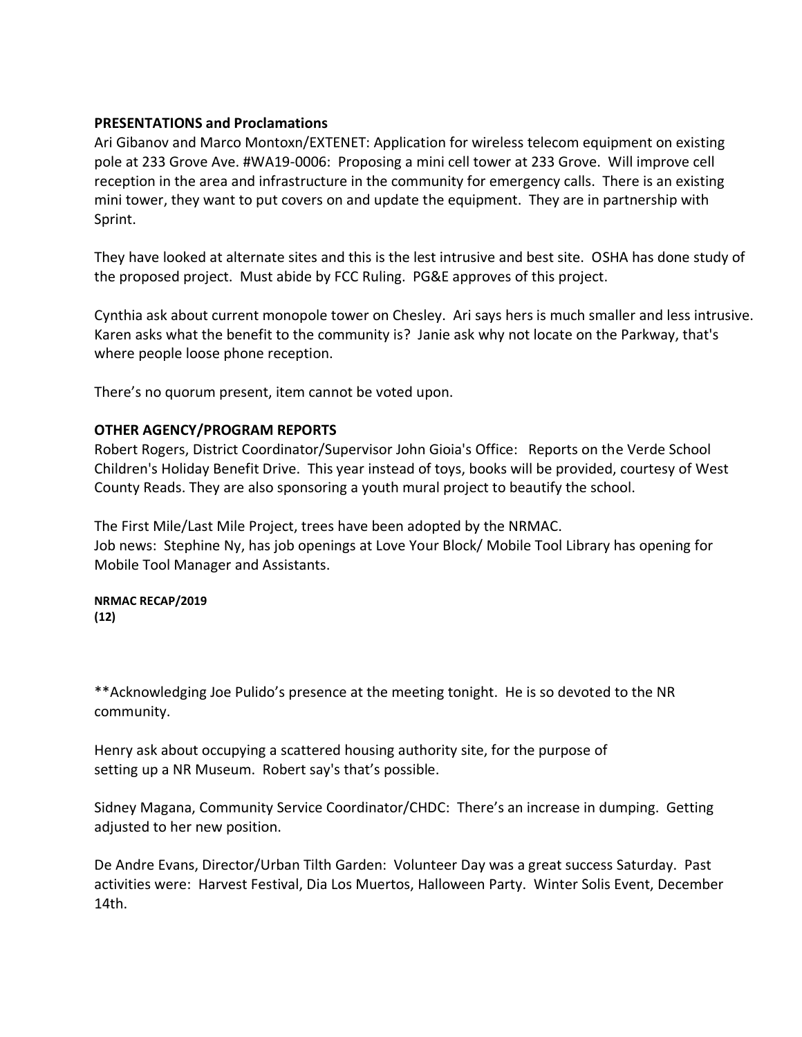#### **PRESENTATIONS and Proclamations**

Ari Gibanov and Marco Montoxn/EXTENET: Application for wireless telecom equipment on existing pole at 233 Grove Ave. #WA19-0006: Proposing a mini cell tower at 233 Grove. Will improve cell reception in the area and infrastructure in the community for emergency calls. There is an existing mini tower, they want to put covers on and update the equipment. They are in partnership with Sprint.

They have looked at alternate sites and this is the lest intrusive and best site. OSHA has done study of the proposed project. Must abide by FCC Ruling. PG&E approves of this project.

Cynthia ask about current monopole tower on Chesley. Ari says hers is much smaller and less intrusive. Karen asks what the benefit to the community is? Janie ask why not locate on the Parkway, that's where people loose phone reception.

There's no quorum present, item cannot be voted upon.

### **OTHER AGENCY/PROGRAM REPORTS**

Robert Rogers, District Coordinator/Supervisor John Gioia's Office: Reports on the Verde School Children's Holiday Benefit Drive. This year instead of toys, books will be provided, courtesy of West County Reads. They are also sponsoring a youth mural project to beautify the school.

The First Mile/Last Mile Project, trees have been adopted by the NRMAC. Job news: Stephine Ny, has job openings at Love Your Block/ Mobile Tool Library has opening for Mobile Tool Manager and Assistants.

#### **NRMAC RECAP/2019 (12)**

\*\*Acknowledging Joe Pulido's presence at the meeting tonight. He is so devoted to the NR community.

Henry ask about occupying a scattered housing authority site, for the purpose of setting up a NR Museum. Robert say's that's possible.

Sidney Magana, Community Service Coordinator/CHDC: There's an increase in dumping. Getting adjusted to her new position.

De Andre Evans, Director/Urban Tilth Garden: Volunteer Day was a great success Saturday. Past activities were: Harvest Festival, Dia Los Muertos, Halloween Party. Winter Solis Event, December 14th.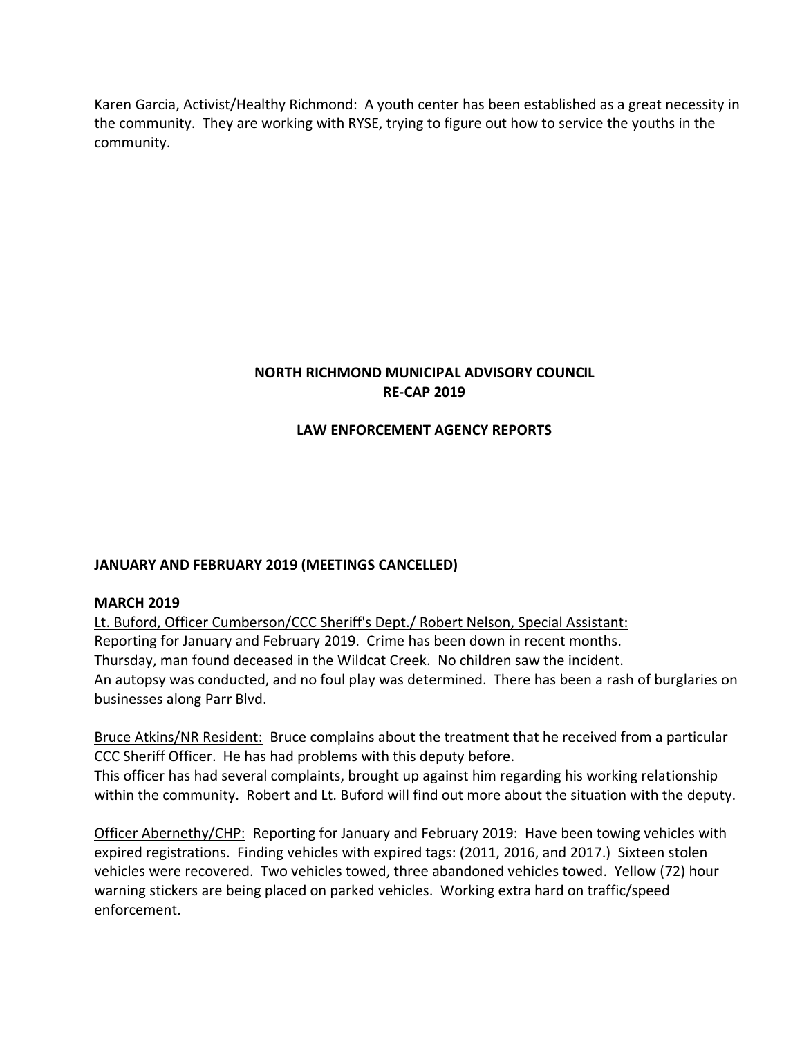Karen Garcia, Activist/Healthy Richmond: A youth center has been established as a great necessity in the community. They are working with RYSE, trying to figure out how to service the youths in the community.

# **NORTH RICHMOND MUNICIPAL ADVISORY COUNCIL RE-CAP 2019**

# **LAW ENFORCEMENT AGENCY REPORTS**

# **JANUARY AND FEBRUARY 2019 (MEETINGS CANCELLED)**

### **MARCH 2019**

Lt. Buford, Officer Cumberson/CCC Sheriff's Dept./ Robert Nelson, Special Assistant: Reporting for January and February 2019. Crime has been down in recent months. Thursday, man found deceased in the Wildcat Creek. No children saw the incident. An autopsy was conducted, and no foul play was determined. There has been a rash of burglaries on businesses along Parr Blvd.

Bruce Atkins/NR Resident: Bruce complains about the treatment that he received from a particular CCC Sheriff Officer. He has had problems with this deputy before. This officer has had several complaints, brought up against him regarding his working relationship within the community. Robert and Lt. Buford will find out more about the situation with the deputy.

Officer Abernethy/CHP: Reporting for January and February 2019: Have been towing vehicles with expired registrations. Finding vehicles with expired tags: (2011, 2016, and 2017.) Sixteen stolen vehicles were recovered. Two vehicles towed, three abandoned vehicles towed. Yellow (72) hour warning stickers are being placed on parked vehicles. Working extra hard on traffic/speed enforcement.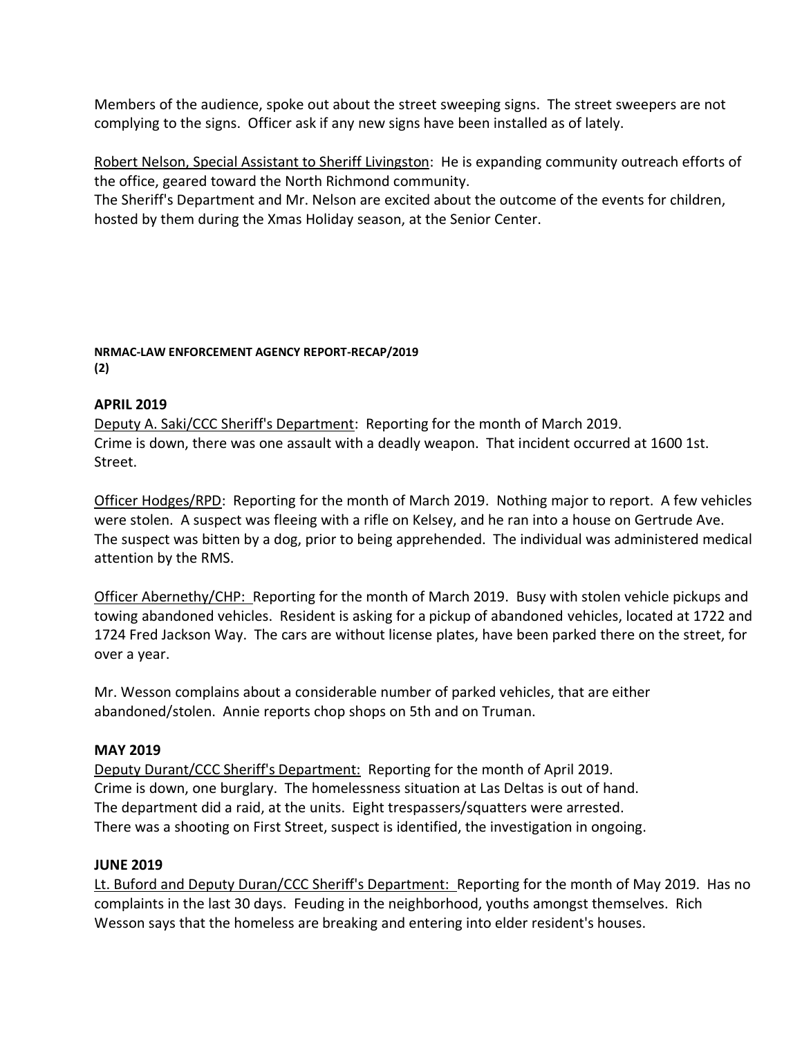Members of the audience, spoke out about the street sweeping signs. The street sweepers are not complying to the signs. Officer ask if any new signs have been installed as of lately.

Robert Nelson, Special Assistant to Sheriff Livingston: He is expanding community outreach efforts of the office, geared toward the North Richmond community.

The Sheriff's Department and Mr. Nelson are excited about the outcome of the events for children, hosted by them during the Xmas Holiday season, at the Senior Center.

### **NRMAC-LAW ENFORCEMENT AGENCY REPORT-RECAP/2019 (2)**

### **APRIL 2019**

Deputy A. Saki/CCC Sheriff's Department: Reporting for the month of March 2019. Crime is down, there was one assault with a deadly weapon. That incident occurred at 1600 1st. Street.

Officer Hodges/RPD: Reporting for the month of March 2019. Nothing major to report. A few vehicles were stolen. A suspect was fleeing with a rifle on Kelsey, and he ran into a house on Gertrude Ave. The suspect was bitten by a dog, prior to being apprehended. The individual was administered medical attention by the RMS.

Officer Abernethy/CHP: Reporting for the month of March 2019. Busy with stolen vehicle pickups and towing abandoned vehicles. Resident is asking for a pickup of abandoned vehicles, located at 1722 and 1724 Fred Jackson Way. The cars are without license plates, have been parked there on the street, for over a year.

Mr. Wesson complains about a considerable number of parked vehicles, that are either abandoned/stolen. Annie reports chop shops on 5th and on Truman.

# **MAY 2019**

Deputy Durant/CCC Sheriff's Department: Reporting for the month of April 2019. Crime is down, one burglary. The homelessness situation at Las Deltas is out of hand. The department did a raid, at the units. Eight trespassers/squatters were arrested. There was a shooting on First Street, suspect is identified, the investigation in ongoing.

### **JUNE 2019**

Lt. Buford and Deputy Duran/CCC Sheriff's Department: Reporting for the month of May 2019. Has no complaints in the last 30 days. Feuding in the neighborhood, youths amongst themselves. Rich Wesson says that the homeless are breaking and entering into elder resident's houses.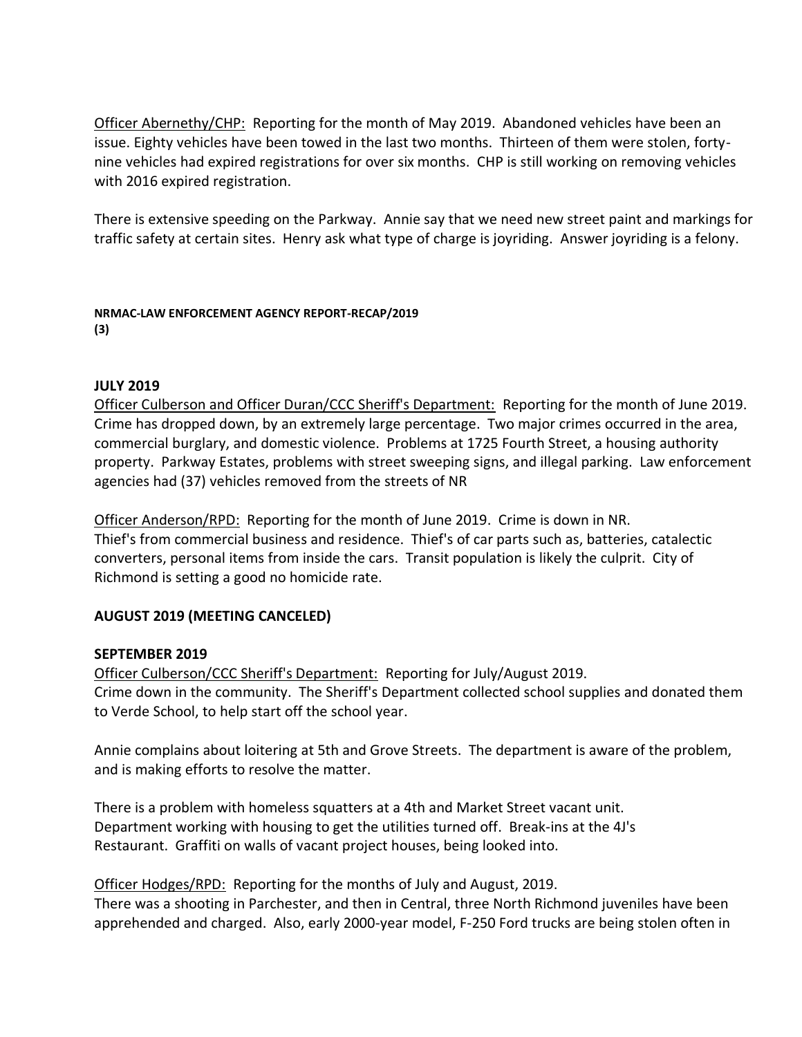Officer Abernethy/CHP: Reporting for the month of May 2019. Abandoned vehicles have been an issue. Eighty vehicles have been towed in the last two months. Thirteen of them were stolen, fortynine vehicles had expired registrations for over six months. CHP is still working on removing vehicles with 2016 expired registration.

There is extensive speeding on the Parkway. Annie say that we need new street paint and markings for traffic safety at certain sites. Henry ask what type of charge is joyriding. Answer joyriding is a felony.

**NRMAC-LAW ENFORCEMENT AGENCY REPORT-RECAP/2019 (3)**

### **JULY 2019**

Officer Culberson and Officer Duran/CCC Sheriff's Department: Reporting for the month of June 2019. Crime has dropped down, by an extremely large percentage. Two major crimes occurred in the area, commercial burglary, and domestic violence. Problems at 1725 Fourth Street, a housing authority property. Parkway Estates, problems with street sweeping signs, and illegal parking. Law enforcement agencies had (37) vehicles removed from the streets of NR

Officer Anderson/RPD: Reporting for the month of June 2019. Crime is down in NR. Thief's from commercial business and residence. Thief's of car parts such as, batteries, catalectic converters, personal items from inside the cars. Transit population is likely the culprit. City of Richmond is setting a good no homicide rate.

### **AUGUST 2019 (MEETING CANCELED)**

### **SEPTEMBER 2019**

Officer Culberson/CCC Sheriff's Department: Reporting for July/August 2019. Crime down in the community. The Sheriff's Department collected school supplies and donated them to Verde School, to help start off the school year.

Annie complains about loitering at 5th and Grove Streets. The department is aware of the problem, and is making efforts to resolve the matter.

There is a problem with homeless squatters at a 4th and Market Street vacant unit. Department working with housing to get the utilities turned off. Break-ins at the 4J's Restaurant. Graffiti on walls of vacant project houses, being looked into.

Officer Hodges/RPD: Reporting for the months of July and August, 2019.

There was a shooting in Parchester, and then in Central, three North Richmond juveniles have been apprehended and charged. Also, early 2000-year model, F-250 Ford trucks are being stolen often in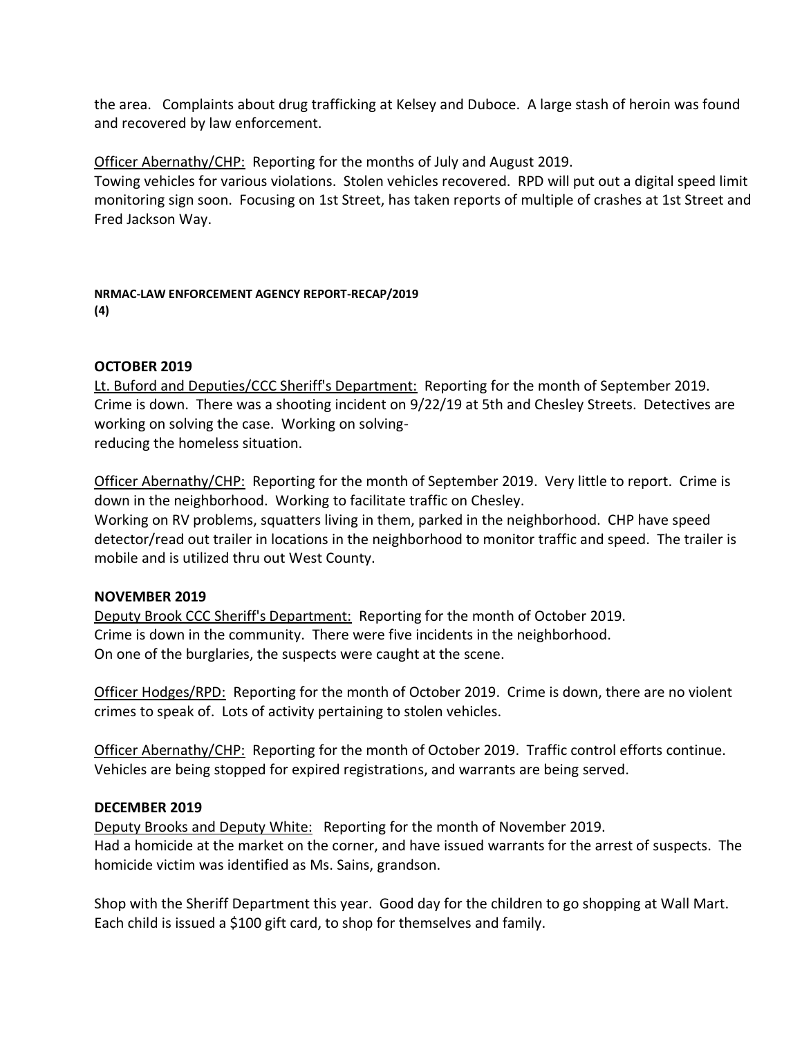the area. Complaints about drug trafficking at Kelsey and Duboce. A large stash of heroin was found and recovered by law enforcement.

Officer Abernathy/CHP: Reporting for the months of July and August 2019.

Towing vehicles for various violations. Stolen vehicles recovered. RPD will put out a digital speed limit monitoring sign soon. Focusing on 1st Street, has taken reports of multiple of crashes at 1st Street and Fred Jackson Way.

**NRMAC-LAW ENFORCEMENT AGENCY REPORT-RECAP/2019 (4)**

# **OCTOBER 2019**

Lt. Buford and Deputies/CCC Sheriff's Department: Reporting for the month of September 2019. Crime is down. There was a shooting incident on 9/22/19 at 5th and Chesley Streets. Detectives are working on solving the case. Working on solvingreducing the homeless situation.

Officer Abernathy/CHP: Reporting for the month of September 2019. Very little to report. Crime is down in the neighborhood. Working to facilitate traffic on Chesley. Working on RV problems, squatters living in them, parked in the neighborhood. CHP have speed detector/read out trailer in locations in the neighborhood to monitor traffic and speed. The trailer is mobile and is utilized thru out West County.

# **NOVEMBER 2019**

Deputy Brook CCC Sheriff's Department: Reporting for the month of October 2019. Crime is down in the community. There were five incidents in the neighborhood. On one of the burglaries, the suspects were caught at the scene.

Officer Hodges/RPD: Reporting for the month of October 2019. Crime is down, there are no violent crimes to speak of. Lots of activity pertaining to stolen vehicles.

Officer Abernathy/CHP: Reporting for the month of October 2019. Traffic control efforts continue. Vehicles are being stopped for expired registrations, and warrants are being served.

### **DECEMBER 2019**

Deputy Brooks and Deputy White: Reporting for the month of November 2019. Had a homicide at the market on the corner, and have issued warrants for the arrest of suspects. The homicide victim was identified as Ms. Sains, grandson.

Shop with the Sheriff Department this year. Good day for the children to go shopping at Wall Mart. Each child is issued a \$100 gift card, to shop for themselves and family.